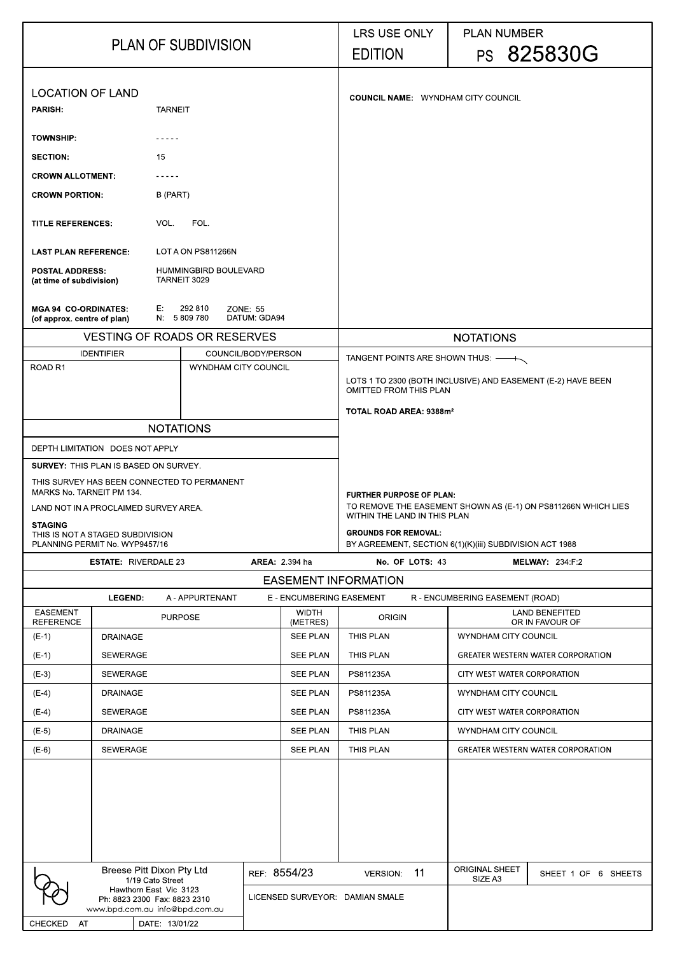| <b>PLAN OF SUBDIVISION</b>                                                                                                                                       |                                        |                |                                       |                                           |                          | <b>LRS USE ONLY</b><br><b>EDITION</b>                                                                |    | <b>PLAN NUMBER</b>                       | PS 825830G                               |  |
|------------------------------------------------------------------------------------------------------------------------------------------------------------------|----------------------------------------|----------------|---------------------------------------|-------------------------------------------|--------------------------|------------------------------------------------------------------------------------------------------|----|------------------------------------------|------------------------------------------|--|
| <b>LOCATION OF LAND</b><br><b>PARISH:</b><br><b>TARNEIT</b>                                                                                                      |                                        |                |                                       | <b>COUNCIL NAME: WYNDHAM CITY COUNCIL</b> |                          |                                                                                                      |    |                                          |                                          |  |
| <b>TOWNSHIP:</b>                                                                                                                                                 |                                        |                |                                       |                                           |                          |                                                                                                      |    |                                          |                                          |  |
| <b>SECTION:</b>                                                                                                                                                  |                                        | 15             |                                       |                                           |                          |                                                                                                      |    |                                          |                                          |  |
| <b>CROWN ALLOTMENT:</b>                                                                                                                                          |                                        |                |                                       |                                           |                          |                                                                                                      |    |                                          |                                          |  |
| <b>CROWN PORTION:</b>                                                                                                                                            |                                        | B (PART)       |                                       |                                           |                          |                                                                                                      |    |                                          |                                          |  |
| <b>TITLE REFERENCES:</b>                                                                                                                                         |                                        | VOL.           | FOL.                                  |                                           |                          |                                                                                                      |    |                                          |                                          |  |
| <b>LAST PLAN REFERENCE:</b>                                                                                                                                      |                                        |                | LOT A ON PS811266N                    |                                           |                          |                                                                                                      |    |                                          |                                          |  |
| <b>POSTAL ADDRESS:</b><br>(at time of subdivision)                                                                                                               |                                        |                | HUMMINGBIRD BOULEVARD<br>TARNEIT 3029 |                                           |                          |                                                                                                      |    |                                          |                                          |  |
| <b>MGA 94 CO-ORDINATES:</b><br>(of approx. centre of plan)                                                                                                       |                                        | E:             | 292 810<br>N 5809780                  | ZONE 55<br>DATUM GDA94                    |                          |                                                                                                      |    |                                          |                                          |  |
|                                                                                                                                                                  |                                        |                | <b>VESTING OF ROADS OR RESERVES</b>   |                                           |                          |                                                                                                      |    | <b>NOTATIONS</b>                         |                                          |  |
|                                                                                                                                                                  | <b>IDENTIFIER</b>                      |                | COUNCIL/BODY/PERSON                   |                                           |                          | TANGENT POINTS ARE SHOWN THUS: — R                                                                   |    |                                          |                                          |  |
|                                                                                                                                                                  | <b>ROAD R1</b><br>WYNDHAM CITY COUNCIL |                |                                       |                                           |                          | LOTS 1 TO 2300 (BOTH INCLUSIVE) AND EASEMENT (E-2) HAVE BEEN<br><b>OMITTED FROM THIS PLAN</b>        |    |                                          |                                          |  |
|                                                                                                                                                                  |                                        |                |                                       |                                           |                          | TOTAL ROAD AREA: 9388m <sup>2</sup>                                                                  |    |                                          |                                          |  |
|                                                                                                                                                                  |                                        |                | <b>NOTATIONS</b>                      |                                           |                          |                                                                                                      |    |                                          |                                          |  |
| DEPTH LIMITATION DOES NOT APPLY                                                                                                                                  |                                        |                |                                       |                                           |                          |                                                                                                      |    |                                          |                                          |  |
| <b>SURVEY: THIS PLAN IS BASED ON SURVEY.</b><br>THIS SURVEY HAS BEEN CONNECTED TO PERMANENT<br>MARKS No. TARNEIT PM 134<br>LAND NOT IN A PROCLAIMED SURVEY AREA. |                                        |                |                                       |                                           |                          | <b>FURTHER PURPOSE OF PLAN:</b><br>TO REMOVE THE EASEMENT SHOWN AS (E-1) ON PS811266N WHICH LIES     |    |                                          |                                          |  |
| <b>STAGING</b><br>THIS IS NOT A STAGED SUBDIVISION                                                                                                               |                                        |                |                                       |                                           |                          | WITHIN THE LAND IN THIS PLAN<br><b>GROUNDS FOR REMOVAL:</b>                                          |    |                                          |                                          |  |
| PLANNING PERMIT No. WYP9457/16                                                                                                                                   |                                        |                |                                       |                                           |                          | BY AGREEMENT, SECTION 6(1)(K)(iii) SUBDIVISION ACT 1988<br>No. OF LOTS: 43<br><b>MELWAY: 234 F.2</b> |    |                                          |                                          |  |
| <b>ESTATE: RIVERDALE 23</b><br><b>AREA: 2.394 ha</b>                                                                                                             |                                        |                |                                       |                                           |                          |                                                                                                      |    |                                          |                                          |  |
| <b>EASEMENT INFORMATION</b><br><b>LEGEND:</b><br>E - ENCUMBERING EASEMENT<br>A - APPURTENANT<br>R - ENCUMBERING EASEMENT (ROAD)                                  |                                        |                |                                       |                                           |                          |                                                                                                      |    |                                          |                                          |  |
| <b>EASEMENT</b><br><b>REFERENCE</b>                                                                                                                              | <b>PURPOSE</b>                         |                |                                       |                                           | <b>WIDTH</b><br>(METRES) | <b>ORIGIN</b>                                                                                        |    | <b>LAND BENEFITED</b><br>OR IN FAVOUR OF |                                          |  |
| $(E-1)$                                                                                                                                                          | <b>DRAINAGE</b>                        |                |                                       |                                           | <b>SEE PLAN</b>          | THIS PLAN                                                                                            |    | <b>WYNDHAM CITY COUNCIL</b>              |                                          |  |
| $(E-1)$                                                                                                                                                          | <b>SEWERAGE</b>                        |                |                                       |                                           | <b>SEE PLAN</b>          | <b>THIS PLAN</b>                                                                                     |    |                                          | <b>GREATER WESTERN WATER CORPORATION</b> |  |
| $(E-3)$                                                                                                                                                          | <b>SEWERAGE</b>                        |                |                                       |                                           | <b>SEE PLAN</b>          | PS811235A                                                                                            |    | CITY WEST WATER CORPORATION              |                                          |  |
| $(E-4)$                                                                                                                                                          | <b>DRAINAGE</b>                        |                |                                       |                                           | <b>SEE PLAN</b>          | PS811235A                                                                                            |    | <b>WYNDHAM CITY COUNCIL</b>              |                                          |  |
| $(E-4)$                                                                                                                                                          | <b>SEWERAGE</b><br><b>SEE PLAN</b>     |                |                                       |                                           |                          | PS811235A                                                                                            |    | CITY WEST WATER CORPORATION              |                                          |  |
| $(E-5)$                                                                                                                                                          | <b>DRAINAGE</b><br><b>SEE PLAN</b>     |                |                                       |                                           |                          | THIS PLAN                                                                                            |    | <b>WYNDHAM CITY COUNCIL</b>              |                                          |  |
| $(E-6)$                                                                                                                                                          | <b>SEWERAGE</b><br><b>SEE PLAN</b>     |                |                                       |                                           |                          |                                                                                                      |    | <b>GREATER WESTERN WATER CORPORATION</b> |                                          |  |
|                                                                                                                                                                  |                                        |                |                                       |                                           |                          |                                                                                                      |    |                                          |                                          |  |
|                                                                                                                                                                  |                                        |                |                                       |                                           |                          |                                                                                                      |    |                                          |                                          |  |
| <b>Breese Pitt Dixon Pty Ltd</b><br>REF 8554/23                                                                                                                  |                                        |                |                                       |                                           |                          | VERSION:                                                                                             | 11 | ORIGINAL SHEET<br>SIZE A3                | SHEET 1 OF 6 SHEETS                      |  |
| 1/19 Cato Street<br>Hawthorn East Vic 3123<br>Ph: 8823 2300 Fax: 8823 2310<br>www.bpd.com.au info@bpd.com.au                                                     |                                        |                | LICENSED SURVEYOR: DAMIAN SMALE       |                                           |                          |                                                                                                      |    |                                          |                                          |  |
| <b>CHECKED</b><br>AT                                                                                                                                             |                                        | DATE: 13/01/22 |                                       |                                           |                          |                                                                                                      |    |                                          |                                          |  |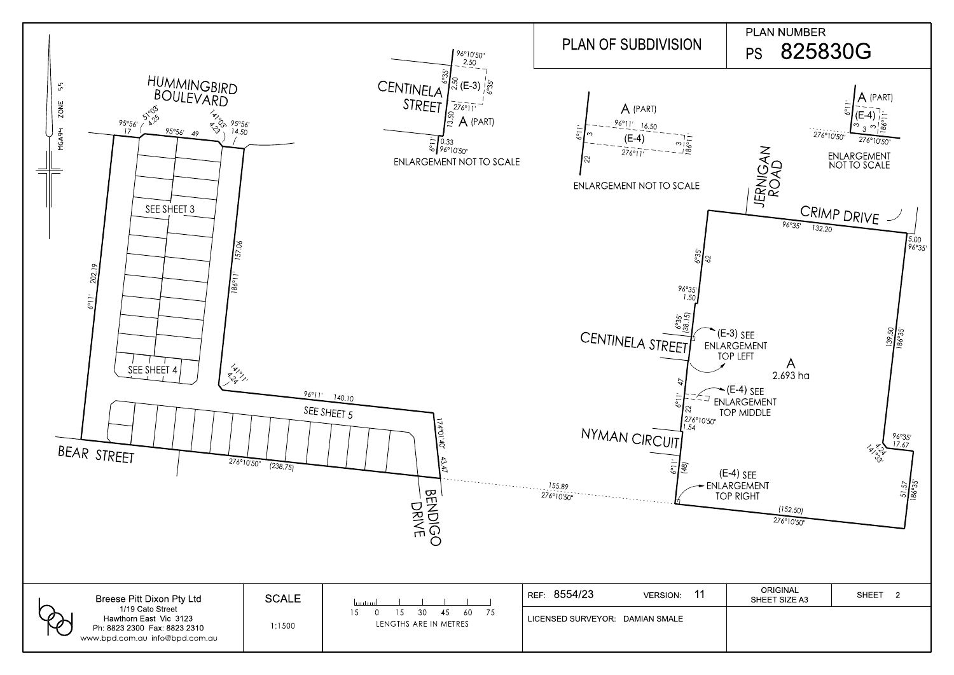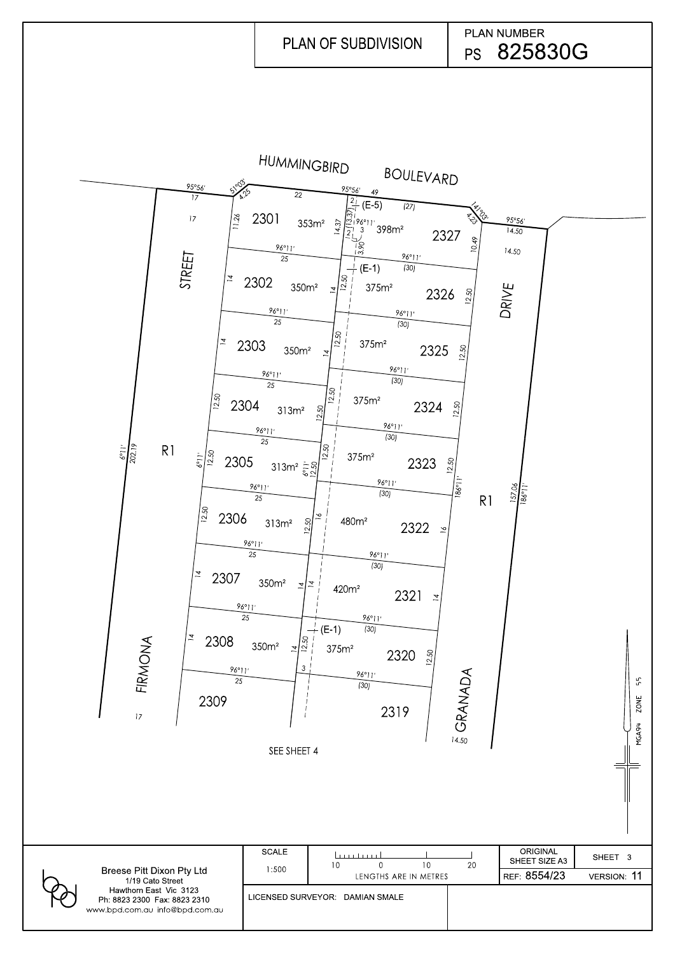

|                                                                                          | SEE SHEET 4  |                                  | (5)<br>14.50 |                                  | MGA94       |
|------------------------------------------------------------------------------------------|--------------|----------------------------------|--------------|----------------------------------|-------------|
|                                                                                          |              |                                  |              |                                  |             |
|                                                                                          | <b>SCALE</b> | لتتبيننا<br>10<br>10<br>$\Omega$ | 20           | <b>ORIGINAL</b><br>SHEET SIZE A3 | SHEET 3     |
| Breese Pitt Dixon Pty Ltd<br>1/19 Cato Street                                            | 1:500        | LENGTHS ARE IN METRES            |              | REF 8554/23                      | VERSION: 11 |
| Hawthorn East Vic 3123<br>Ph: 8823 2300 Fax: 8823 2310<br>www.bpd.com.au info@bpd.com.au |              | LICENSED SURVEYOR: DAMIAN SMALE  |              |                                  |             |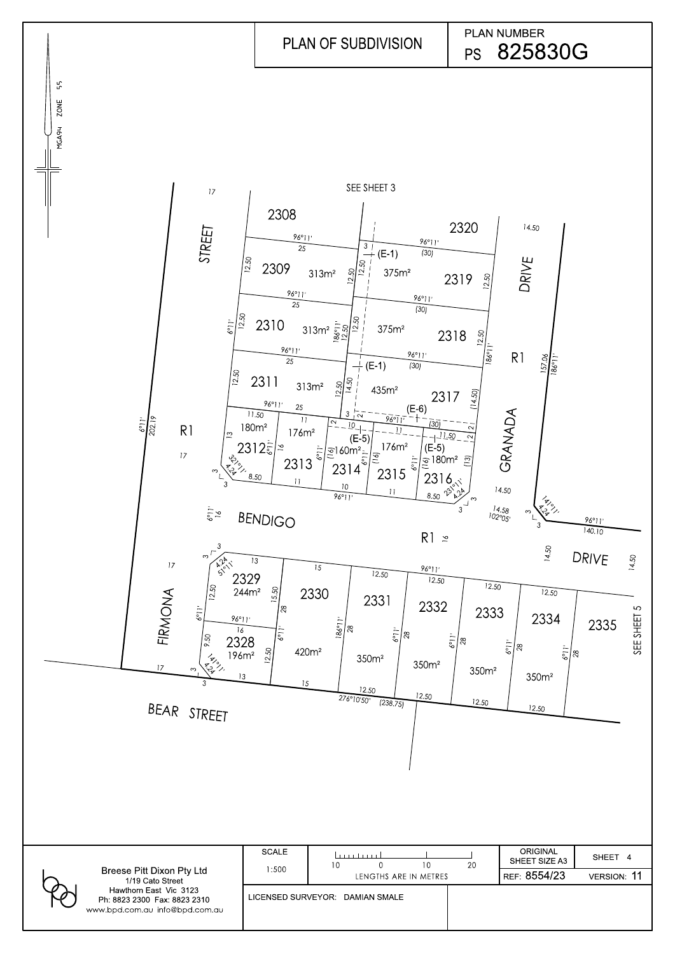|                                                                                          | <b>SCALE</b> |                                 | l martin nil<br>10<br>10<br>0<br>LENGTHS ARE IN METRES |  | 20 | <b>ORIGINAL</b><br>SHEET SIZE A3 | SHEET 4            |
|------------------------------------------------------------------------------------------|--------------|---------------------------------|--------------------------------------------------------|--|----|----------------------------------|--------------------|
| <b>Breese Pitt Dixon Pty Ltd</b><br>1/19 Cato Street                                     |              | 1:500                           |                                                        |  |    | REF 8554/23                      | <b>VERSION: 11</b> |
| Hawthorn East Vic 3123<br>Ph: 8823 2300 Fax: 8823 2310<br>www.bpd.com.au info@bpd.com.au |              | LICENSED SURVEYOR: DAMIAN SMALE |                                                        |  |    |                                  |                    |

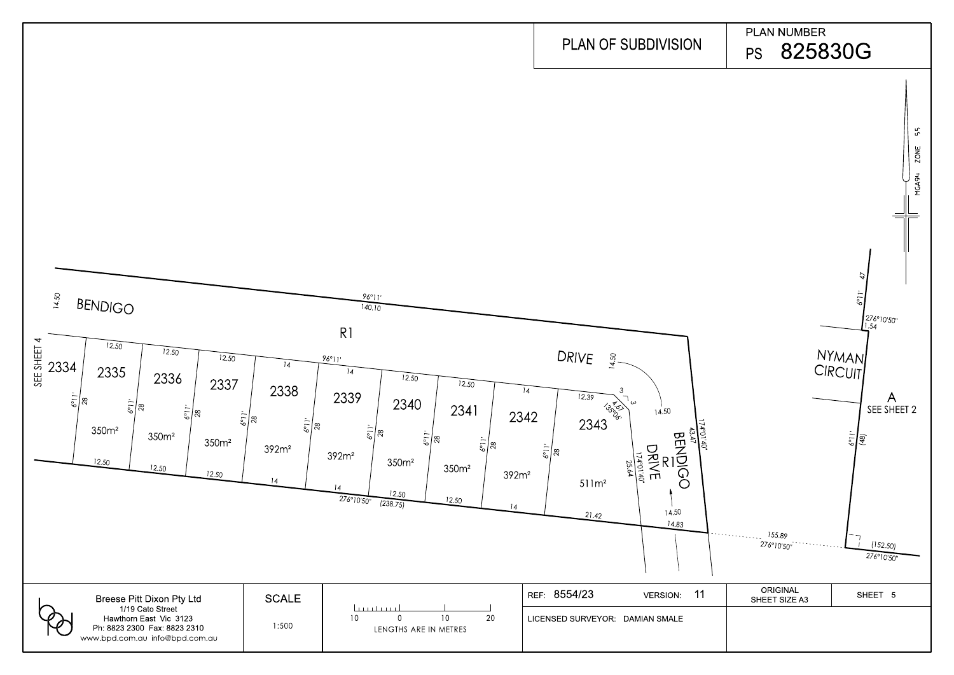